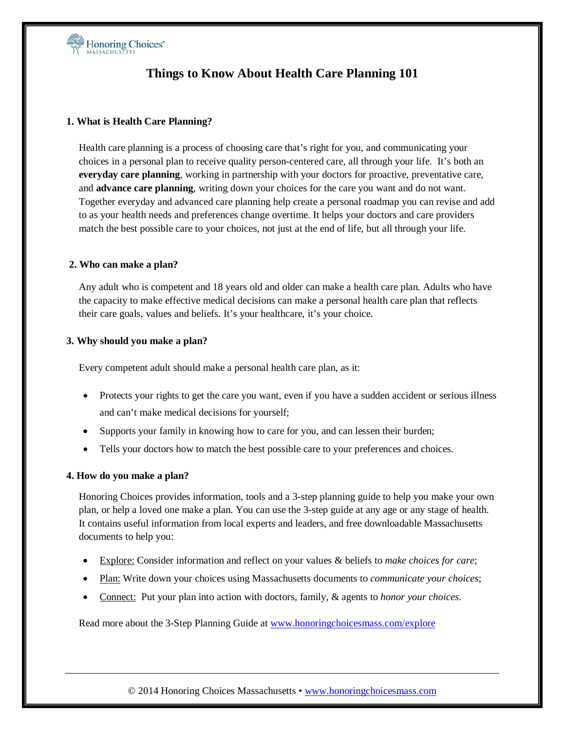

# **Things to Know About Health Care Planning 101**

#### **1. What is Health Care Planning?**

Health care planning is a process of choosing care that's right for you, and communicating your choices in a personal plan to receive quality person-centered care, all through your life. It's both an **everyday care planning**, working in partnership with your doctors for proactive, preventative care, and **advance care planning**, writing down your choices for the care you want and do not want. Together everyday and advanced care planning help create a personal roadmap you can revise and add to as your health needs and preferences change overtime. It helps your doctors and care providers match the best possible care to your choices, not just at the end of life, but all through your life.

#### **2. Who can make a plan?**

Any adult who is competent and 18 years old and older can make a health care plan. Adults who have the capacity to make effective medical decisions can make a personal health care plan that reflects their care goals, values and beliefs. It's your healthcare, it's your choice.

#### **3. Why should you make a plan?**

Every competent adult should make a personal health care plan, as it:

- Protects your rights to get the care you want, even if you have a sudden accident or serious illness and can't make medical decisions for yourself;
- Supports your family in knowing how to care for you, and can lessen their burden;
- Tells your doctors how to match the best possible care to your preferences and choices.

#### **4. How do you make a plan?**

Honoring Choices provides information, tools and a 3-step planning guide to help you make your own plan, or help a loved one make a plan. You can use the 3-step guide at any age or any stage of health. It contains useful information from local experts and leaders, and free downloadable Massachusetts documents to help you:

- Explore: Consider information and reflect on your values & beliefs to *make choices for care*;
- Plan: Write down your choices using Massachusetts documents to *communicate your choices*;
- Connect: Put your plan into action with doctors, family, & agents to *honor your choices*.

Read more about the 3-Step Planning Guide at [www.honoringchoicesmass.com/explore](http://www.honoringchoicesmass.com/explore)

© 2014 Honoring Choices Massachusetts • [www.honoringchoicesmass.com](http://www.honoringchoicesmass.com/)